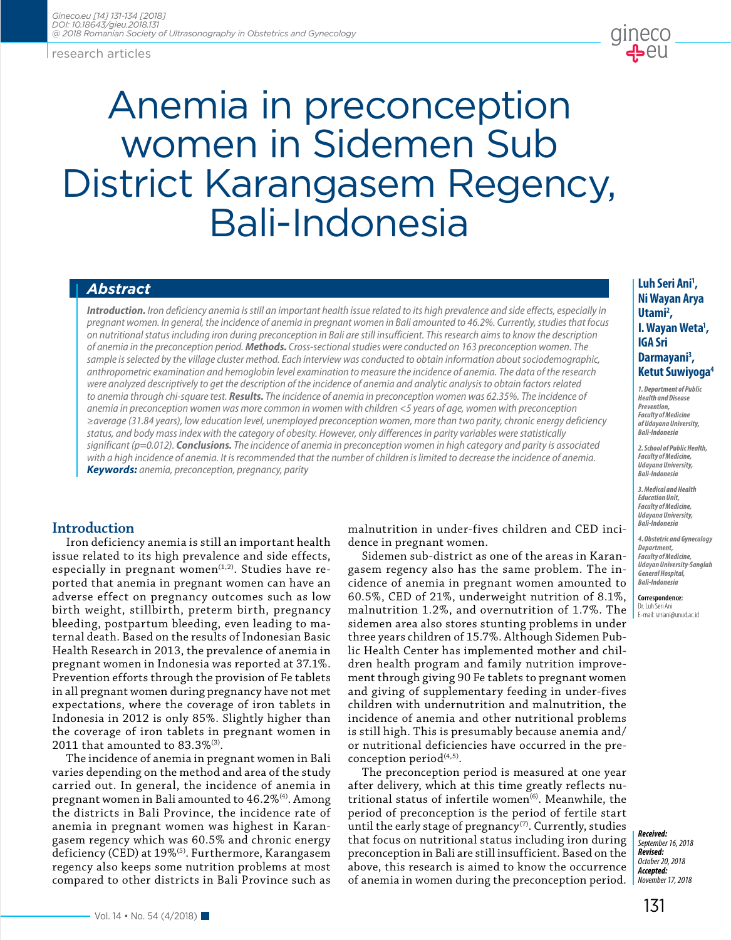research articles

# Anemia in preconception women in Sidemen Sub District Karangasem Regency, Bali-Indonesia

*Introduction. Iron deficiency anemia is still an important health issue related to its high prevalence and side effects, especially in pregnant women. In general, the incidence of anemia in pregnant women in Bali amounted to 46.2%. Currently, studies that focus on nutritional status including iron during preconception in Bali are still insufficient. This research aims to know the description of anemia in the preconception period. Methods. Cross-sectional studies were conducted on 163 preconception women. The sample is selected by the village cluster method. Each interview was conducted to obtain information about sociodemographic, anthropometric examination and hemoglobin level examination to measure the incidence of anemia. The data of the research were analyzed descriptively to get the description of the incidence of anemia and analytic analysis to obtain factors related to anemia through chi-square test. Results. The incidence of anemia in preconception women was 62.35%. The incidence of anemia in preconception women was more common in women with children <5 years of age, women with preconception ≥average (31.84 years), low education level, unemployed preconception women, more than two parity, chronic energy deficiency status, and body mass index with the category of obesity. However, only differences in parity variables were statistically significant (p=0.012). Conclusions. The incidence of anemia in preconception women in high category and parity is associated with a high incidence of anemia. It is recommended that the number of children is limited to decrease the incidence of anemia. Keywords: anemia, preconception, pregnancy, parity*

# **Introduction**

Iron deficiency anemia is still an important health issue related to its high prevalence and side effects, especially in pregnant women<sup> $(1,2)$ </sup>. Studies have reported that anemia in pregnant women can have an adverse effect on pregnancy outcomes such as low birth weight, stillbirth, preterm birth, pregnancy bleeding, postpartum bleeding, even leading to maternal death. Based on the results of Indonesian Basic Health Research in 2013, the prevalence of anemia in pregnant women in Indonesia was reported at 37.1%. Prevention efforts through the provision of Fe tablets in all pregnant women during pregnancy have not met expectations, where the coverage of iron tablets in Indonesia in 2012 is only 85%. Slightly higher than the coverage of iron tablets in pregnant women in 2011 that amounted to 83.3%(3).

The incidence of anemia in pregnant women in Bali varies depending on the method and area of the study carried out. In general, the incidence of anemia in pregnant women in Bali amounted to 46.2%(4). Among the districts in Bali Province, the incidence rate of anemia in pregnant women was highest in Karangasem regency which was 60.5% and chronic energy deficiency (CED) at 19%<sup>(5)</sup>. Furthermore, Karangasem regency also keeps some nutrition problems at most compared to other districts in Bali Province such as

malnutrition in under-fives children and CED incidence in pregnant women.

Sidemen sub-district as one of the areas in Karangasem regency also has the same problem. The incidence of anemia in pregnant women amounted to 60.5%, CED of 21%, underweight nutrition of 8.1%, malnutrition 1.2%, and overnutrition of 1.7%. The sidemen area also stores stunting problems in under three years children of 15.7%. Although Sidemen Public Health Center has implemented mother and children health program and family nutrition improvement through giving 90 Fe tablets to pregnant women and giving of supplementary feeding in under-fives children with undernutrition and malnutrition, the incidence of anemia and other nutritional problems is still high. This is presumably because anemia and/ or nutritional deficiencies have occurred in the preconception period $(4,5)$ .

The preconception period is measured at one year after delivery, which at this time greatly reflects nutritional status of infertile women $^{(6)}$ . Meanwhile, the period of preconception is the period of fertile start until the early stage of pregnancy $(7)$ . Currently, studies that focus on nutritional status including iron during preconception in Bali are still insufficient. Based on the above, this research is aimed to know the occurrence of anemia in women during the preconception period.

### *Abstract* **Luh Seri Ani1** Luh Seri Ani<sup>1</sup>, **Ni Wayan Arya Utami2 , I. Wayan Weta1 , IGA Sri Darmayani3 , Ketut Suwiyoga4**

gineco<br>Depa

*1. Department of Public Health and Disease Prevention, Faculty of Medicine of Udayana University, Bali-Indonesia*

*2. School of Public Health, Faculty of Medicine, Udayana University, Bali-Indonesia*

*3. Medical and Health Education Unit, Faculty of Medicine, Udayana University, Bali-Indonesia*

*4. Obstetric and Gynecology Department, Faculty of Medicine, Udayan University-Sanglah General Hospital, Bali-Indonesia*

**Correspondence:**  Dr. Luh Seri Ani E-mail: seriani@unud.ac.id

*Received: September 16, 2018 Revised: October 20, 2018 Accepted: November 17, 2018*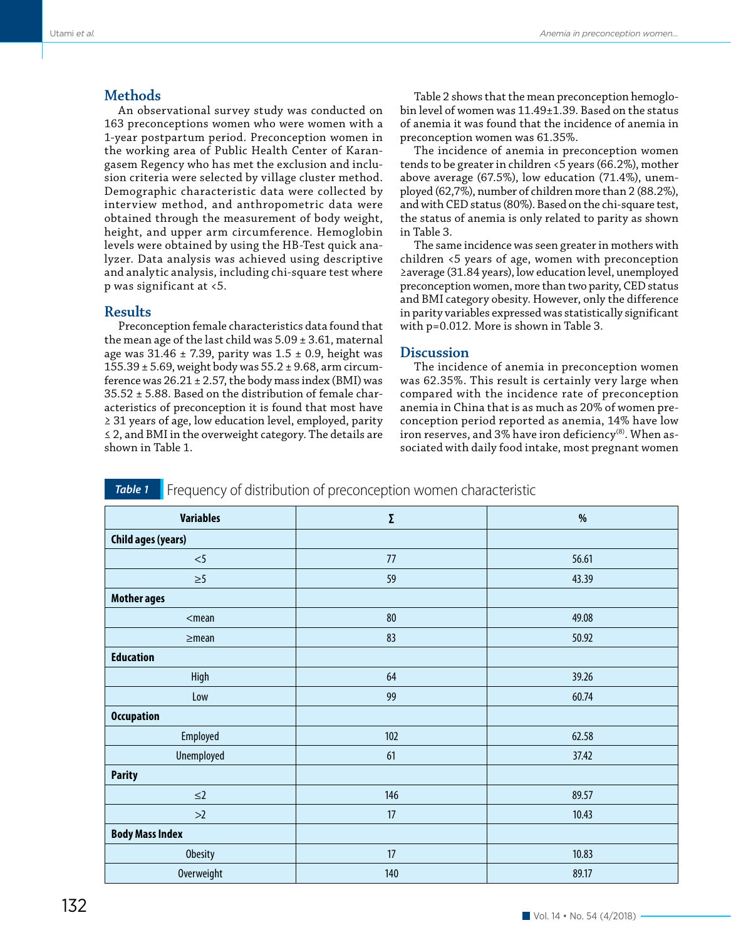# **Methods**

An observational survey study was conducted on 163 preconceptions women who were women with a 1-year postpartum period. Preconception women in the working area of Public Health Center of Karangasem Regency who has met the exclusion and inclusion criteria were selected by village cluster method. Demographic characteristic data were collected by interview method, and anthropometric data were obtained through the measurement of body weight, height, and upper arm circumference. Hemoglobin levels were obtained by using the HB-Test quick analyzer. Data analysis was achieved using descriptive and analytic analysis, including chi-square test where p was significant at <5.

# **Results**

Preconception female characteristics data found that the mean age of the last child was  $5.09 \pm 3.61$ , maternal age was  $31.46 \pm 7.39$ , parity was  $1.5 \pm 0.9$ , height was  $155.39 \pm 5.69$ , weight body was  $55.2 \pm 9.68$ , arm circumference was  $26.21 \pm 2.57$ , the body mass index (BMI) was 35.52 ± 5.88. Based on the distribution of female characteristics of preconception it is found that most have ≥ 31 years of age, low education level, employed, parity ≤ 2, and BMI in the overweight category. The details are shown in Table 1.

Table 2 shows that the mean preconception hemoglobin level of women was 11.49±1.39. Based on the status of anemia it was found that the incidence of anemia in preconception women was 61.35%.

The incidence of anemia in preconception women tends to be greater in children <5 years (66.2%), mother above average (67.5%), low education (71.4%), unemployed (62,7%), number of children more than 2 (88.2%), and with CED status (80%). Based on the chi-square test, the status of anemia is only related to parity as shown in Table 3.

The same incidence was seen greater in mothers with children <5 years of age, women with preconception ≥average (31.84 years), low education level, unemployed preconception women, more than two parity, CED status and BMI category obesity. However, only the difference in parity variables expressed was statistically significant with p=0.012. More is shown in Table 3.

## **Discussion**

The incidence of anemia in preconception women was 62.35%. This result is certainly very large when compared with the incidence rate of preconception anemia in China that is as much as 20% of women preconception period reported as anemia, 14% have low iron reserves, and 3% have iron deficiency $(8)$ . When associated with daily food intake, most pregnant women

**Table 1** Frequency of distribution of preconception women characteristic

| <b>Variables</b>          | Σ   | %     |
|---------------------------|-----|-------|
| <b>Child ages (years)</b> |     |       |
| $<$ 5                     | 77  | 56.61 |
| $\geq 5$                  | 59  | 43.39 |
| <b>Mother ages</b>        |     |       |
| $<$ mean                  | 80  | 49.08 |
| $\geq$ mean               | 83  | 50.92 |
| <b>Education</b>          |     |       |
| High                      | 64  | 39.26 |
| Low                       | 99  | 60.74 |
| <b>Occupation</b>         |     |       |
| Employed                  | 102 | 62.58 |
| Unemployed                | 61  | 37.42 |
| <b>Parity</b>             |     |       |
| $\leq$ 2                  | 146 | 89.57 |
| >2                        | 17  | 10.43 |
| <b>Body Mass Index</b>    |     |       |
| <b>Obesity</b>            | 17  | 10.83 |
| <b>Overweight</b>         | 140 | 89.17 |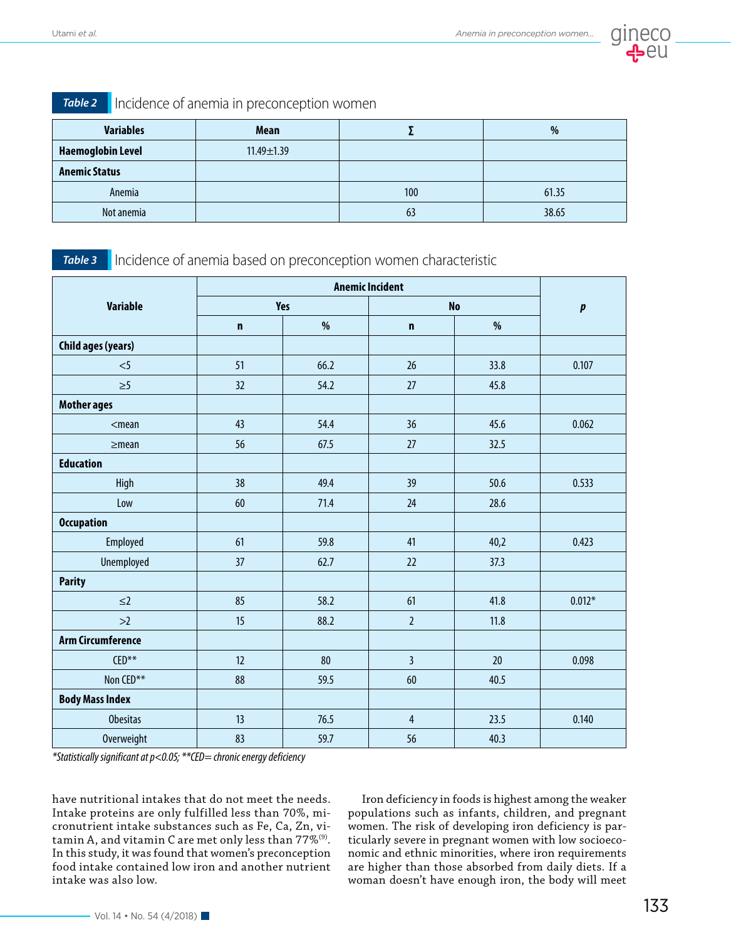

|  |  | Table 2   Incidence of anemia in preconception womer |  |  |  |
|--|--|------------------------------------------------------|--|--|--|
|--|--|------------------------------------------------------|--|--|--|

| <b>Variables</b>         | <b>Mean</b>      |     | %     |
|--------------------------|------------------|-----|-------|
| <b>Haemoglobin Level</b> | $11.49 \pm 1.39$ |     |       |
| <b>Anemic Status</b>     |                  |     |       |
| Anemia                   |                  | 100 | 61.35 |
| Not anemia               |                  | 63  | 38.65 |

*Table 3* Incidence of anemia based on preconception women characteristic

|                           | <b>Anemic Incident</b> |      |                |      |           |
|---------------------------|------------------------|------|----------------|------|-----------|
| <b>Variable</b>           | <b>Yes</b>             |      | <b>No</b>      |      | $\pmb{p}$ |
|                           | $\mathbf n$            | %    | $\mathbf n$    | $\%$ |           |
| <b>Child ages (years)</b> |                        |      |                |      |           |
| $<$ 5                     | 51                     | 66.2 | 26             | 33.8 | 0.107     |
| $\geq 5$                  | 32                     | 54.2 | 27             | 45.8 |           |
| <b>Mother ages</b>        |                        |      |                |      |           |
| $<$ mean                  | 43                     | 54.4 | 36             | 45.6 | 0.062     |
| $\geq$ mean               | 56                     | 67.5 | 27             | 32.5 |           |
| <b>Education</b>          |                        |      |                |      |           |
| High                      | 38                     | 49.4 | 39             | 50.6 | 0.533     |
| Low                       | 60                     | 71.4 | 24             | 28.6 |           |
| <b>Occupation</b>         |                        |      |                |      |           |
| Employed                  | 61                     | 59.8 | 41             | 40,2 | 0.423     |
| <b>Unemployed</b>         | 37                     | 62.7 | 22             | 37.3 |           |
| <b>Parity</b>             |                        |      |                |      |           |
| $\leq$ 2                  | 85                     | 58.2 | 61             | 41.8 | $0.012*$  |
| >2                        | 15                     | 88.2 | $\overline{2}$ | 11.8 |           |
| <b>Arm Circumference</b>  |                        |      |                |      |           |
| $CED***$                  | 12                     | 80   | $\overline{3}$ | 20   | 0.098     |
| Non CED**                 | 88                     | 59.5 | 60             | 40.5 |           |
| <b>Body Mass Index</b>    |                        |      |                |      |           |
| <b>Obesitas</b>           | 13                     | 76.5 | $\overline{4}$ | 23.5 | 0.140     |
| <b>Overweight</b>         | 83                     | 59.7 | 56             | 40.3 |           |

*\*Statistically significant at p<0.05; \*\*CED= chronic energy deficiency*

have nutritional intakes that do not meet the needs. Intake proteins are only fulfilled less than 70%, micronutrient intake substances such as Fe, Ca, Zn, vitamin A, and vitamin C are met only less than  $77\%$ <sup>(9)</sup>. In this study, it was found that women's preconception food intake contained low iron and another nutrient intake was also low.

Iron deficiency in foods is highest among the weaker populations such as infants, children, and pregnant women. The risk of developing iron deficiency is particularly severe in pregnant women with low socioeconomic and ethnic minorities, where iron requirements are higher than those absorbed from daily diets. If a woman doesn't have enough iron, the body will meet